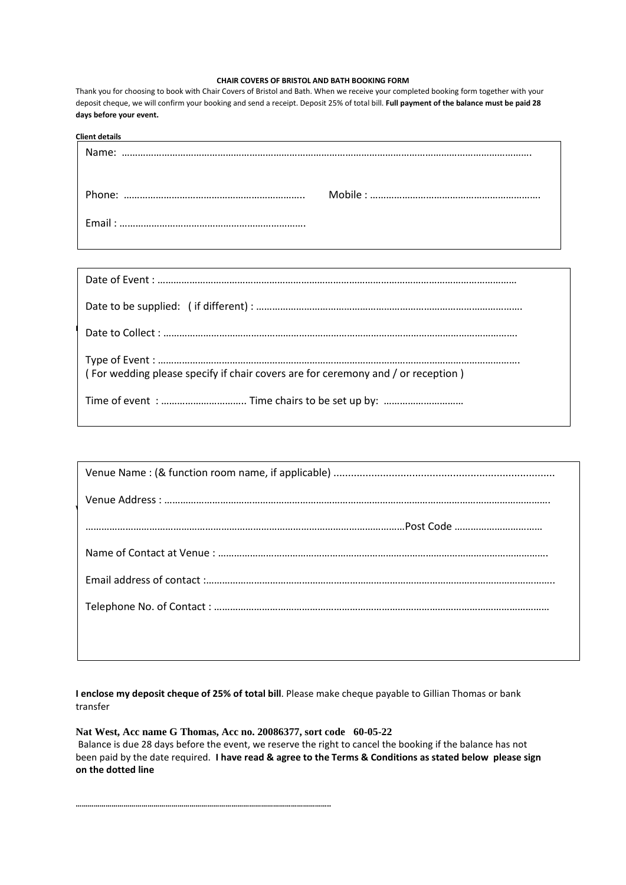#### **CHAIR COVERS OF BRISTOL AND BATH BOOKING FORM**

Thank you for choosing to book with Chair Covers of Bristol and Bath. When we receive your completed booking form together with your deposit cheque, we will confirm your booking and send a receipt. Deposit 25% of total bill. **Full payment of the balance must be paid 28 days before your event.**

| <b>Client details</b> |  |
|-----------------------|--|
|                       |  |
|                       |  |
|                       |  |
|                       |  |

| (For wedding please specify if chair covers are for ceremony and / or reception) |  |
|----------------------------------------------------------------------------------|--|
|                                                                                  |  |

**I enclose my deposit cheque of 25% of total bill**. Please make cheque payable to Gillian Thomas or bank transfer

**Nat West, Acc name G Thomas, Acc no. 20086377, sort code 60-05-22**

**………………………………………………………………………………………………………………..**

Balance is due 28 days before the event, we reserve the right to cancel the booking if the balance has not been paid by the date required. **I have read & agree to the Terms & Conditions as stated below please sign on the dotted line**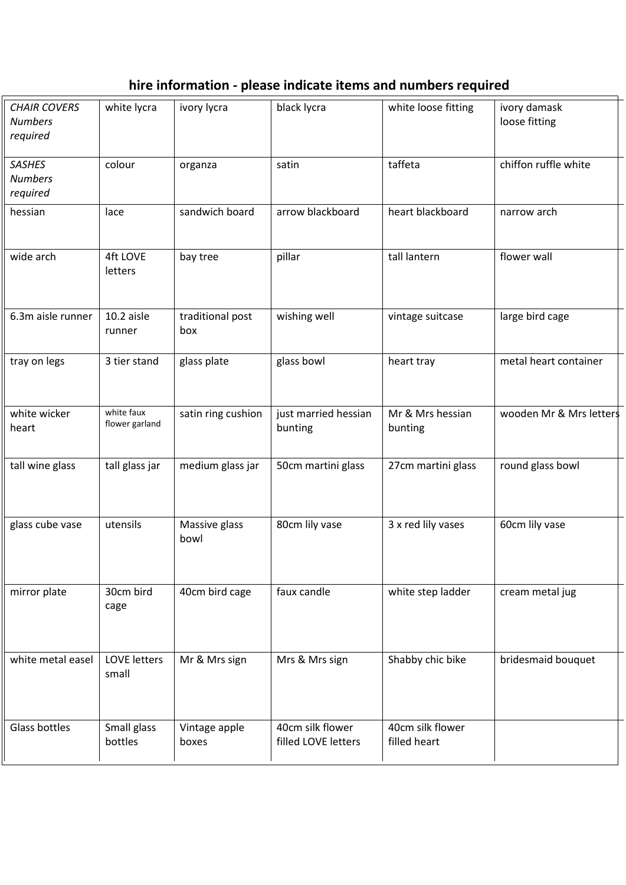# **hire information - please indicate items and numbers required**

| <b>CHAIR COVERS</b><br><b>Numbers</b><br>required | white lycra                  | ivory lycra             | black lycra                             | white loose fitting              | ivory damask<br>loose fitting |
|---------------------------------------------------|------------------------------|-------------------------|-----------------------------------------|----------------------------------|-------------------------------|
| <b>SASHES</b><br><b>Numbers</b><br>required       | colour                       | organza                 | satin                                   | taffeta                          | chiffon ruffle white          |
| hessian                                           | lace                         | sandwich board          | arrow blackboard                        | heart blackboard                 | narrow arch                   |
| wide arch                                         | 4ft LOVE<br>letters          | bay tree                | pillar                                  | tall lantern                     | flower wall                   |
| 6.3m aisle runner                                 | 10.2 aisle<br>runner         | traditional post<br>box | wishing well                            | vintage suitcase                 | large bird cage               |
| tray on legs                                      | 3 tier stand                 | glass plate             | glass bowl                              | heart tray                       | metal heart container         |
| white wicker<br>heart                             | white faux<br>flower garland | satin ring cushion      | just married hessian<br>bunting         | Mr & Mrs hessian<br>bunting      | wooden Mr & Mrs letters       |
| tall wine glass                                   | tall glass jar               | medium glass jar        | 50cm martini glass                      | 27cm martini glass               | round glass bowl              |
| glass cube vase                                   | utensils                     | Massive glass<br>bowl   | 80cm lily vase                          | 3 x red lily vases               | 60cm lily vase                |
| mirror plate                                      | 30cm bird<br>cage            | 40cm bird cage          | faux candle                             | white step ladder                | cream metal jug               |
| white metal easel                                 | <b>LOVE letters</b><br>small | Mr & Mrs sign           | Mrs & Mrs sign                          | Shabby chic bike                 | bridesmaid bouquet            |
| Glass bottles                                     | Small glass<br>bottles       | Vintage apple<br>boxes  | 40cm silk flower<br>filled LOVE letters | 40cm silk flower<br>filled heart |                               |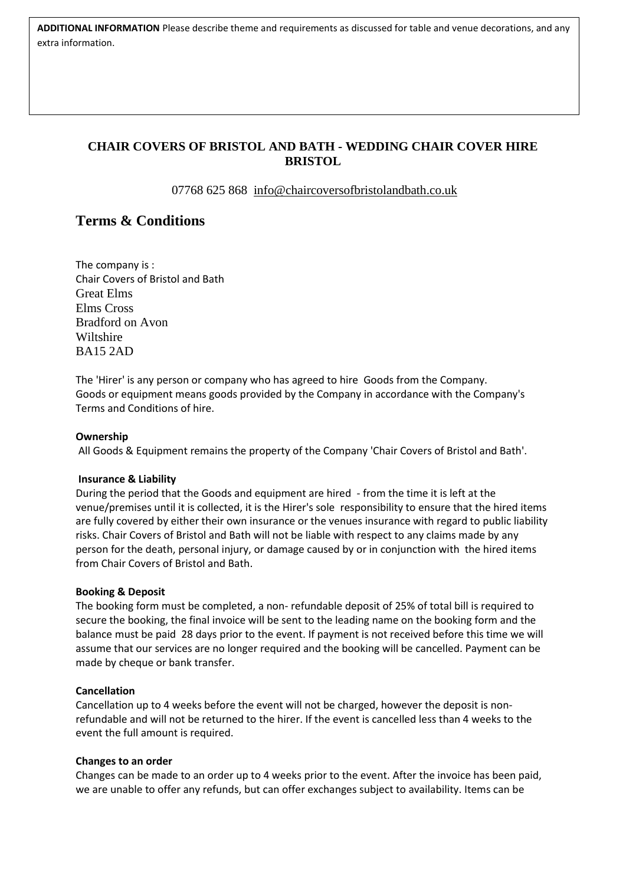**ADDITIONAL INFORMATION** Please describe theme and requirements as discussed for table and venue decorations, and any extra information.

# **CHAIR COVERS OF BRISTOL AND BATH - WEDDING CHAIR COVER HIRE BRISTOL**

07768 625 868 [info@chaircoversofbristolandbath.co.uk](mailto:info@chaircoversofbristolandbath.co.uk)

# **Terms & Conditions**

The company is : Chair Covers of Bristol and Bath Great Elms Elms Cross Bradford on Avon **Wiltshire** BA15 2AD

The 'Hirer' is any person or company who has agreed to hire Goods from the Company. Goods or equipment means goods provided by the Company in accordance with the Company's Terms and Conditions of hire.

## **Ownership**

All Goods & Equipment remains the property of the Company 'Chair Covers of Bristol and Bath'.

### **Insurance & Liability**

During the period that the Goods and equipment are hired - from the time it is left at the venue/premises until it is collected, it is the Hirer's sole responsibility to ensure that the hired items are fully covered by either their own insurance or the venues insurance with regard to public liability risks. Chair Covers of Bristol and Bath will not be liable with respect to any claims made by any person for the death, personal injury, or damage caused by or in conjunction with the hired items from Chair Covers of Bristol and Bath.

### **Booking & Deposit**

The booking form must be completed, a non- refundable deposit of 25% of total bill is required to secure the booking, the final invoice will be sent to the leading name on the booking form and the balance must be paid 28 days prior to the event. If payment is not received before this time we will assume that our services are no longer required and the booking will be cancelled. Payment can be made by cheque or bank transfer.

### **Cancellation**

Cancellation up to 4 weeks before the event will not be charged, however the deposit is nonrefundable and will not be returned to the hirer. If the event is cancelled less than 4 weeks to the event the full amount is required.

### **Changes to an order**

Changes can be made to an order up to 4 weeks prior to the event. After the invoice has been paid, we are unable to offer any refunds, but can offer exchanges subject to availability. Items can be